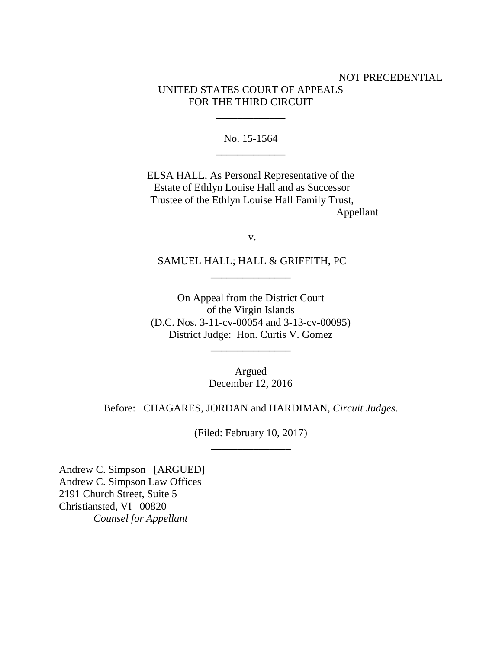# NOT PRECEDENTIAL UNITED STATES COURT OF APPEALS FOR THE THIRD CIRCUIT

No. 15-1564 \_\_\_\_\_\_\_\_\_\_\_\_\_

\_\_\_\_\_\_\_\_\_\_\_\_\_

ELSA HALL, As Personal Representative of the Estate of Ethlyn Louise Hall and as Successor Trustee of the Ethlyn Louise Hall Family Trust, Appellant

v.

SAMUEL HALL; HALL & GRIFFITH, PC \_\_\_\_\_\_\_\_\_\_\_\_\_\_\_

On Appeal from the District Court of the Virgin Islands (D.C. Nos. 3-11-cv-00054 and 3-13-cv-00095) District Judge: Hon. Curtis V. Gomez

\_\_\_\_\_\_\_\_\_\_\_\_\_\_\_

Argued December 12, 2016

Before: CHAGARES, JORDAN and HARDIMAN, *Circuit Judges*.

(Filed: February 10, 2017) \_\_\_\_\_\_\_\_\_\_\_\_\_\_\_

Andrew C. Simpson [ARGUED] Andrew C. Simpson Law Offices 2191 Church Street, Suite 5 Christiansted, VI 00820 *Counsel for Appellant*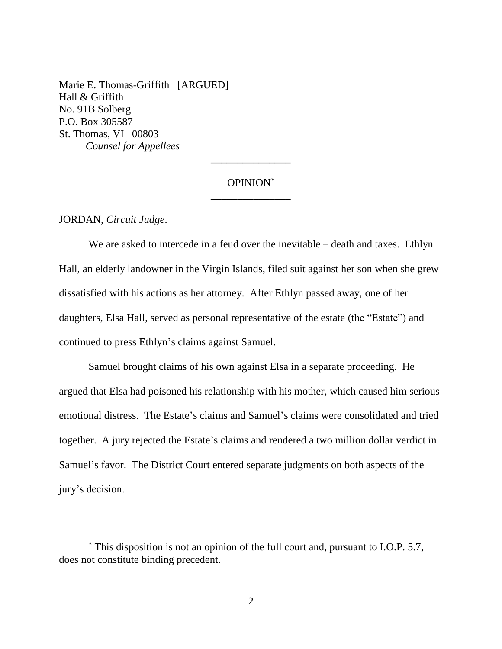Marie E. Thomas-Griffith [ARGUED] Hall & Griffith No. 91B Solberg P.O. Box 305587 St. Thomas, VI 00803 *Counsel for Appellees*

# OPINION\* \_\_\_\_\_\_\_\_\_\_\_\_\_\_\_

\_\_\_\_\_\_\_\_\_\_\_\_\_\_\_

#### JORDAN, *Circuit Judge*.

We are asked to intercede in a feud over the inevitable – death and taxes. Ethlyn Hall, an elderly landowner in the Virgin Islands, filed suit against her son when she grew dissatisfied with his actions as her attorney. After Ethlyn passed away, one of her daughters, Elsa Hall, served as personal representative of the estate (the "Estate") and continued to press Ethlyn's claims against Samuel.

Samuel brought claims of his own against Elsa in a separate proceeding. He argued that Elsa had poisoned his relationship with his mother, which caused him serious emotional distress. The Estate's claims and Samuel's claims were consolidated and tried together. A jury rejected the Estate's claims and rendered a two million dollar verdict in Samuel's favor. The District Court entered separate judgments on both aspects of the jury's decision.

<sup>\*</sup> This disposition is not an opinion of the full court and, pursuant to I.O.P. 5.7, does not constitute binding precedent.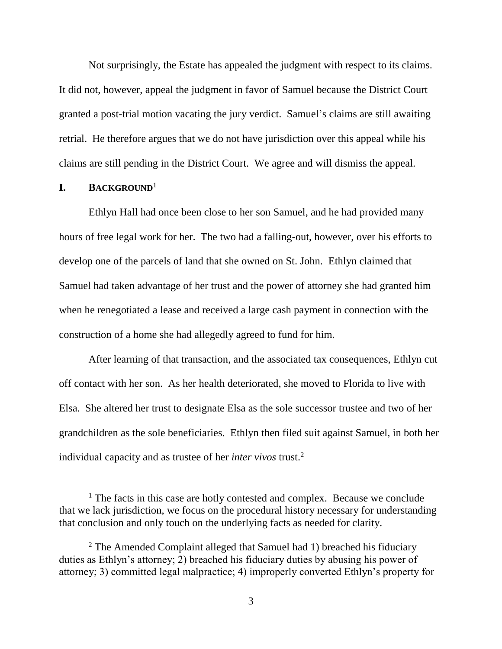Not surprisingly, the Estate has appealed the judgment with respect to its claims. It did not, however, appeal the judgment in favor of Samuel because the District Court granted a post-trial motion vacating the jury verdict. Samuel's claims are still awaiting retrial. He therefore argues that we do not have jurisdiction over this appeal while his claims are still pending in the District Court. We agree and will dismiss the appeal.

### **I. BACKGROUND**<sup>1</sup>

 $\overline{a}$ 

Ethlyn Hall had once been close to her son Samuel, and he had provided many hours of free legal work for her. The two had a falling-out, however, over his efforts to develop one of the parcels of land that she owned on St. John. Ethlyn claimed that Samuel had taken advantage of her trust and the power of attorney she had granted him when he renegotiated a lease and received a large cash payment in connection with the construction of a home she had allegedly agreed to fund for him.

After learning of that transaction, and the associated tax consequences, Ethlyn cut off contact with her son. As her health deteriorated, she moved to Florida to live with Elsa. She altered her trust to designate Elsa as the sole successor trustee and two of her grandchildren as the sole beneficiaries. Ethlyn then filed suit against Samuel, in both her individual capacity and as trustee of her *inter vivos* trust. 2

 $<sup>1</sup>$  The facts in this case are hotly contested and complex. Because we conclude</sup> that we lack jurisdiction, we focus on the procedural history necessary for understanding that conclusion and only touch on the underlying facts as needed for clarity.

<sup>&</sup>lt;sup>2</sup> The Amended Complaint alleged that Samuel had 1) breached his fiduciary duties as Ethlyn's attorney; 2) breached his fiduciary duties by abusing his power of attorney; 3) committed legal malpractice; 4) improperly converted Ethlyn's property for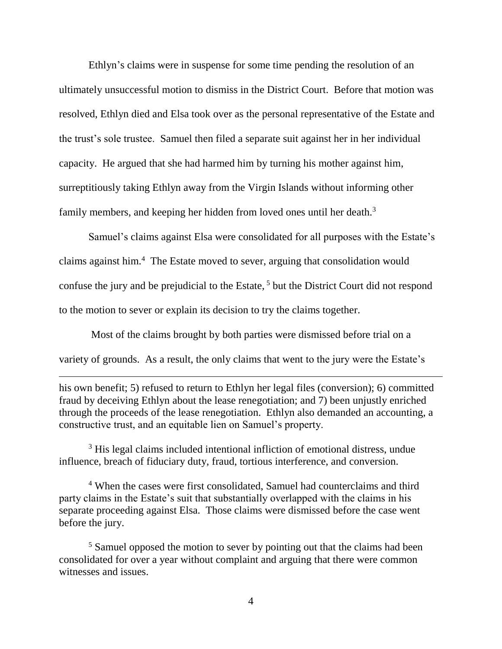Ethlyn's claims were in suspense for some time pending the resolution of an ultimately unsuccessful motion to dismiss in the District Court. Before that motion was resolved, Ethlyn died and Elsa took over as the personal representative of the Estate and the trust's sole trustee. Samuel then filed a separate suit against her in her individual capacity. He argued that she had harmed him by turning his mother against him, surreptitiously taking Ethlyn away from the Virgin Islands without informing other family members, and keeping her hidden from loved ones until her death.<sup>3</sup>

Samuel's claims against Elsa were consolidated for all purposes with the Estate's claims against him. 4 The Estate moved to sever, arguing that consolidation would confuse the jury and be prejudicial to the Estate,<sup>5</sup> but the District Court did not respond to the motion to sever or explain its decision to try the claims together.

Most of the claims brought by both parties were dismissed before trial on a variety of grounds. As a result, the only claims that went to the jury were the Estate's

 $\overline{a}$ 

his own benefit; 5) refused to return to Ethlyn her legal files (conversion); 6) committed fraud by deceiving Ethlyn about the lease renegotiation; and 7) been unjustly enriched through the proceeds of the lease renegotiation. Ethlyn also demanded an accounting, a constructive trust, and an equitable lien on Samuel's property.

<sup>3</sup> His legal claims included intentional infliction of emotional distress, undue influence, breach of fiduciary duty, fraud, tortious interference, and conversion.

<sup>4</sup> When the cases were first consolidated, Samuel had counterclaims and third party claims in the Estate's suit that substantially overlapped with the claims in his separate proceeding against Elsa. Those claims were dismissed before the case went before the jury.

<sup>5</sup> Samuel opposed the motion to sever by pointing out that the claims had been consolidated for over a year without complaint and arguing that there were common witnesses and issues.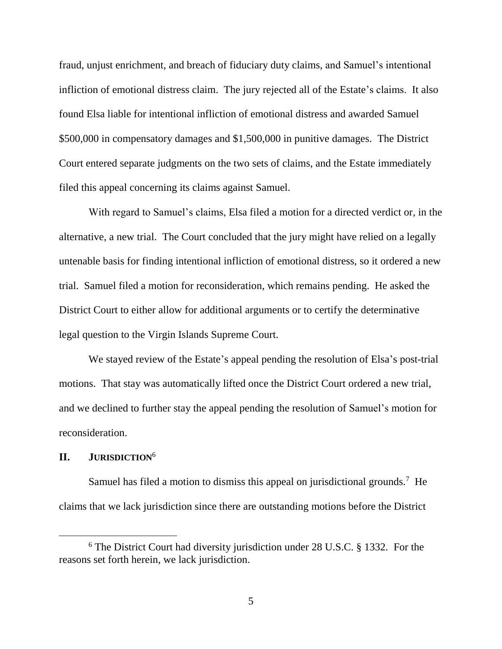fraud, unjust enrichment, and breach of fiduciary duty claims, and Samuel's intentional infliction of emotional distress claim. The jury rejected all of the Estate's claims. It also found Elsa liable for intentional infliction of emotional distress and awarded Samuel \$500,000 in compensatory damages and \$1,500,000 in punitive damages. The District Court entered separate judgments on the two sets of claims, and the Estate immediately filed this appeal concerning its claims against Samuel.

With regard to Samuel's claims, Elsa filed a motion for a directed verdict or, in the alternative, a new trial. The Court concluded that the jury might have relied on a legally untenable basis for finding intentional infliction of emotional distress, so it ordered a new trial. Samuel filed a motion for reconsideration, which remains pending. He asked the District Court to either allow for additional arguments or to certify the determinative legal question to the Virgin Islands Supreme Court.

We stayed review of the Estate's appeal pending the resolution of Elsa's post-trial motions. That stay was automatically lifted once the District Court ordered a new trial, and we declined to further stay the appeal pending the resolution of Samuel's motion for reconsideration.

## **II. JURISDICTION**<sup>6</sup>

Samuel has filed a motion to dismiss this appeal on jurisdictional grounds.<sup>7</sup> He claims that we lack jurisdiction since there are outstanding motions before the District

 $6$  The District Court had diversity jurisdiction under 28 U.S.C. § 1332. For the reasons set forth herein, we lack jurisdiction.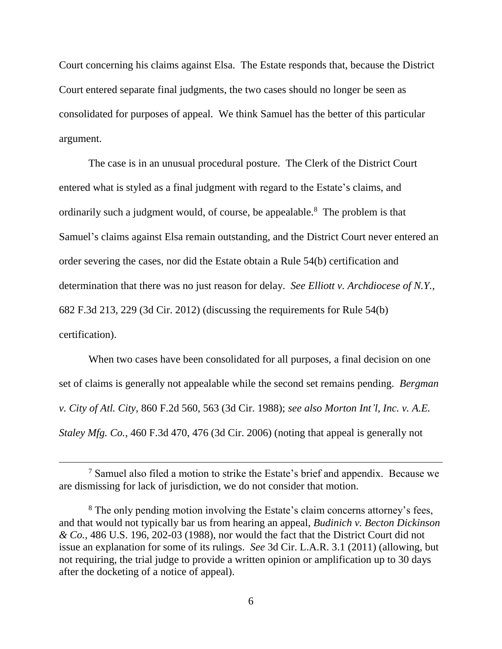Court concerning his claims against Elsa. The Estate responds that, because the District Court entered separate final judgments, the two cases should no longer be seen as consolidated for purposes of appeal. We think Samuel has the better of this particular argument.

The case is in an unusual procedural posture. The Clerk of the District Court entered what is styled as a final judgment with regard to the Estate's claims, and ordinarily such a judgment would, of course, be appealable.<sup>8</sup> The problem is that Samuel's claims against Elsa remain outstanding, and the District Court never entered an order severing the cases, nor did the Estate obtain a Rule 54(b) certification and determination that there was no just reason for delay. *See Elliott v. Archdiocese of N.Y.*, 682 F.3d 213, 229 (3d Cir. 2012) (discussing the requirements for Rule 54(b) certification).

When two cases have been consolidated for all purposes, a final decision on one set of claims is generally not appealable while the second set remains pending. *Bergman v. City of Atl. City*, 860 F.2d 560, 563 (3d Cir. 1988); *see also Morton Int'l, Inc. v. A.E. Staley Mfg. Co.*, 460 F.3d 470, 476 (3d Cir. 2006) (noting that appeal is generally not

 $\overline{a}$ 

<sup>7</sup> Samuel also filed a motion to strike the Estate's brief and appendix. Because we are dismissing for lack of jurisdiction, we do not consider that motion.

<sup>&</sup>lt;sup>8</sup> The only pending motion involving the Estate's claim concerns attorney's fees, and that would not typically bar us from hearing an appeal, *Budinich v. Becton Dickinson & Co.*, 486 U.S. 196, 202-03 (1988), nor would the fact that the District Court did not issue an explanation for some of its rulings. *See* 3d Cir. L.A.R. 3.1 (2011) (allowing, but not requiring, the trial judge to provide a written opinion or amplification up to 30 days after the docketing of a notice of appeal).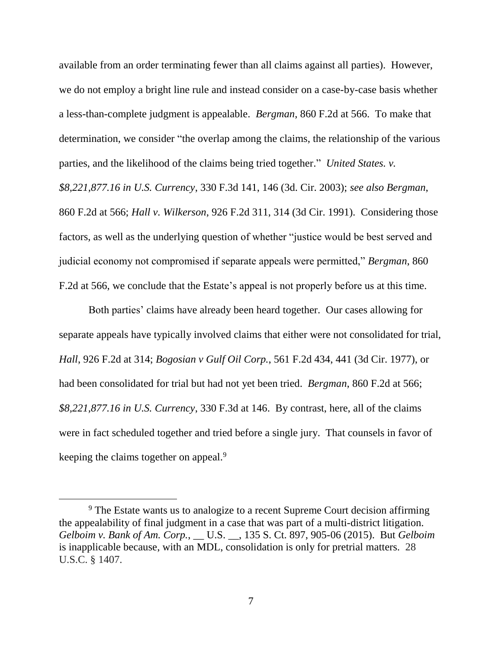available from an order terminating fewer than all claims against all parties). However, we do not employ a bright line rule and instead consider on a case-by-case basis whether a less-than-complete judgment is appealable. *Bergman*, 860 F.2d at 566. To make that determination, we consider "the overlap among the claims, the relationship of the various parties, and the likelihood of the claims being tried together." *United States. v.* 

*\$8,221,877.16 in U.S. Currency*, 330 F.3d 141, 146 (3d. Cir. 2003); *see also Bergman*, 860 F.2d at 566; *Hall v. Wilkerson*, 926 F.2d 311, 314 (3d Cir. 1991). Considering those factors, as well as the underlying question of whether "justice would be best served and judicial economy not compromised if separate appeals were permitted," *Bergman*, 860 F.2d at 566, we conclude that the Estate's appeal is not properly before us at this time.

Both parties' claims have already been heard together. Our cases allowing for separate appeals have typically involved claims that either were not consolidated for trial, *Hall*, 926 F.2d at 314; *Bogosian v Gulf Oil Corp.*, 561 F.2d 434, 441 (3d Cir. 1977), or had been consolidated for trial but had not yet been tried. *Bergman*, 860 F.2d at 566; *\$8,221,877.16 in U.S. Currency*, 330 F.3d at 146. By contrast, here, all of the claims were in fact scheduled together and tried before a single jury. That counsels in favor of keeping the claims together on appeal.<sup>9</sup>

<sup>&</sup>lt;sup>9</sup> The Estate wants us to analogize to a recent Supreme Court decision affirming the appealability of final judgment in a case that was part of a multi-district litigation. *Gelboim v. Bank of Am. Corp.*, \_\_ U.S. \_\_, 135 S. Ct. 897, 905-06 (2015). But *Gelboim* is inapplicable because, with an MDL, consolidation is only for pretrial matters. 28 U.S.C. § 1407.